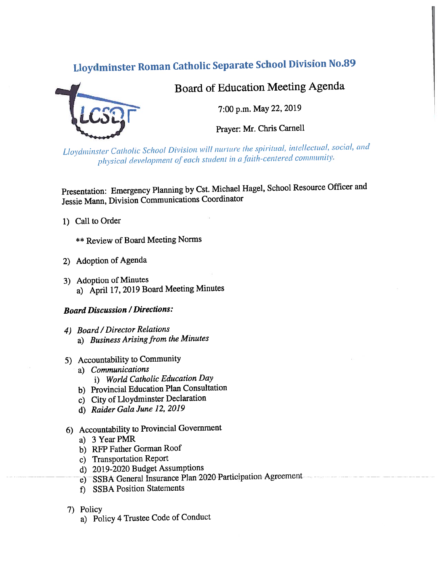# **Lloydminster Roman Catholic Separate School Division No.89**



Board of Education Meeting Agenda

7:00 p.m. May 22, 2019

Prayer: Mr. Chris Carnell

Lloydminster Catholic School Division will nurture the spiritual, intellectual, social, and physical development of each student in a faith-centered community.

Presentation: Emergency Planning by Cst. Michael Hagel, School Resource Officer and Jessie Mann, Division Communications Coordinator

1) Call to Order

**\*\* Review of Board Meeting Norms** 

- 2) Adoption of Agenda
- 3) Adoption of Minutes a) April 17, 2019 Board Meeting Minutes

## **Board Discussion / Directions:**

- 4) Board / Director Relations a) Business Arising from the Minutes
- 5) Accountability to Community
	- a) Communications
		- i) World Catholic Education Day
	- b) Provincial Education Plan Consultation
	- c) City of Lloydminster Declaration
	- d) Raider Gala June 12, 2019
- 6) Accountability to Provincial Government
	- a) 3 Year PMR
	- b) RFP Father Gorman Roof
	- c) Transportation Report
	- d) 2019-2020 Budget Assumptions
	- e) SSBA General Insurance Plan 2020 Participation Agreement
	- f) SSBA Position Statements
- 7) Policy
	- a) Policy 4 Trustee Code of Conduct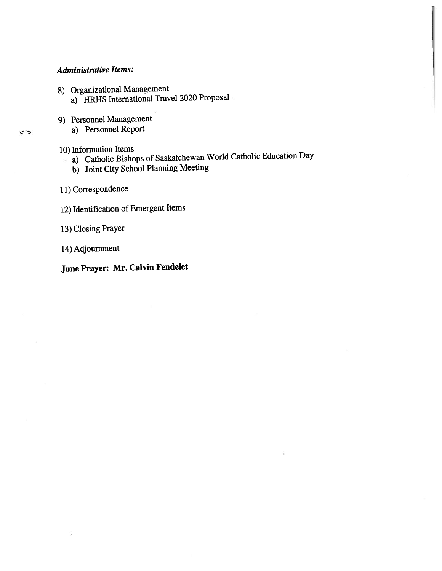# Administrative Items:

- 8) Organizational Management
	- a) HRHS International Travel 2020 Proposal
- 9) Personnel Management
	- a) Personnel Report

### 10) Information Items

- a) Catholic Bishops of Saskatchewan World Catholic Education Day
- b) Joint City School Planning Meeting
- 11) Correspondence
- 12) Identification of Emergent Items
- 13) Closing Prayer
- 14) Adjournment

# June Prayer: Mr. Calvin Fendelet

 $\leftrightarrow$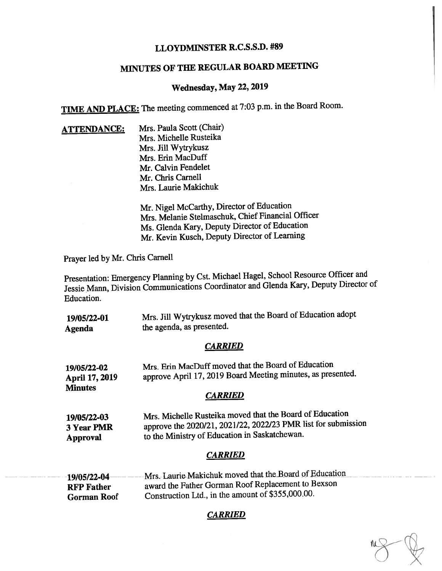# LLOYDMINSTER R.C.S.S.D. #89

# MINUTES OF THE REGULAR BOARD MEETING

# Wednesday, May 22, 2019

TIME AND PLACE: The meeting commenced at 7:03 p.m. in the Board Room.

ATTENDANCE: Mrs. Paula Scott (Chair) Mrs. Michelle Rusteika Mrs. Jill Wytrykusz Mrs. Erin MacDuff Mr. Calvin Fendelet Mr. Chris Carnell Mrs. Laurie Makichuk

> Mr. Nigel McCarthy, Director of Education Mrs. Melanie Stelmaschuk, Chief Financial Officer Ms. Glenda Kary, Deputy Director of Education Mr. Kevin Kusch, Deputy Director of Learning

Prayer led by Mr. Chris Camell

Presentation: Emergency Planning by Cst. Michael Hagel, School Resource Officer and Jessie Mann, Division Communications Coordinator and Glenda Kary, Deputy Director of Education.

| 19/05/22-01 | Mrs. Jill Wytrykusz moved that the Board of Education adopt |
|-------------|-------------------------------------------------------------|
| Agenda      | the agenda, as presented.                                   |

#### CARRIED

| 19/05/22-02    | Mrs. Erin MacDuff moved that the Board of Education         |
|----------------|-------------------------------------------------------------|
| April 17, 2019 | approve April 17, 2019 Board Meeting minutes, as presented. |
| <b>Minutes</b> |                                                             |

#### CARRIED

| Mrs. Michelle Rusteika moved that the Board of Education      |
|---------------------------------------------------------------|
| approve the 2020/21, 2021/22, 2022/23 PMR list for submission |
| to the Ministry of Education in Saskatchewan.                 |
|                                                               |

#### CARRIED

| 19/05/22-04-       | Mrs. Laurie Makichuk moved that the Board of Education |
|--------------------|--------------------------------------------------------|
| <b>RFP</b> Father  | award the Father Gorman Roof Replacement to Bexson     |
| <b>Gorman Roof</b> | Construction Ltd., in the amount of \$355,000.00.      |

CARRIED